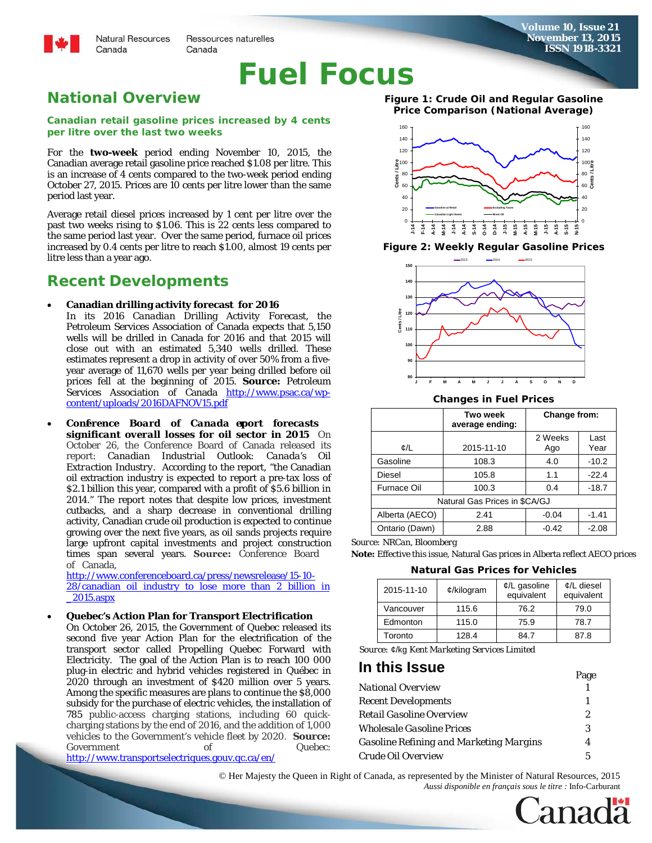**Natural Resources** Ressources naturelles Canada

# **Fuel Focus**

### **National Overview**

Canada

**Canadian retail gasoline prices increased by 4 cents per litre over the last two weeks**

For the **two-week** period ending November 10, 2015, the Canadian average retail gasoline price reached \$1.08 per litre. This is an increase of 4 cents compared to the two-week period ending October 27, 2015. Prices are 10 cents per litre lower than the same period last year.

Average retail diesel prices increased by 1 cent per litre over the past two weeks rising to \$1.06. This is 22 cents less compared to the same period last year. Over the same period, furnace oil prices increased by 0.4 cents per litre to reach \$1.00, almost 19 cents per litre less than a year ago.

### **Recent Developments**

#### • **Canadian drilling activity forecast for 2016**

- In its 2016 *Canadian Drilling Activity Forecast,* the Petroleum Services Association of Canada expects that 5,150 wells will be drilled in Canada for 2016 and that 2015 will close out with an estimated 5,340 wells drilled. These estimates represent a drop in activity of over 50% from a fiveyear average of 11,670 wells per year being drilled before oil prices fell at the beginning of 2015. **Source:** Petroleum Services Association of Canada [http://www.psac.ca/wp](http://www.psac.ca/wp-content/uploads/2016DAFNOV15.pdf)[content/uploads/2016DAFNOV15.pdf](http://www.psac.ca/wp-content/uploads/2016DAFNOV15.pdf)
- *Conference Board of Canada report forecasts significant overall losses for oil sector in 2015* On October 26, the Conference Board of Canada released its report: *Canadian Industrial Outlook: Canada's Oil Extraction Industry*. According to the report, "the Canadian oil extraction industry is expected to report a pre-tax loss of \$2.1 billion this year, compared with a profit of \$5.6 billion in 2014." The report notes that despite low prices, investment cutbacks, and a sharp decrease in conventional drilling activity, Canadian crude oil production is expected to continue growing over the next five years, as oil sands projects require large upfront capital investments and project construction times span several years. **Source:** Conference Board of Canada,

[http://www.conferenceboard.ca/press/newsrelease/15-10-](http://www.conferenceboard.ca/press/newsrelease/15-10-28/canadian_oil_industry_to_lose_more_than_2_billion_in_2015.aspx) [28/canadian\\_oil\\_industry\\_to\\_lose\\_more\\_than\\_2\\_billion\\_in](http://www.conferenceboard.ca/press/newsrelease/15-10-28/canadian_oil_industry_to_lose_more_than_2_billion_in_2015.aspx) [\\_2015.aspx](http://www.conferenceboard.ca/press/newsrelease/15-10-28/canadian_oil_industry_to_lose_more_than_2_billion_in_2015.aspx)

• **Quebec's Action Plan for Transport Electrification**

On October 26, 2015, the Government of Quebec released its second five year Action Plan for the electrification of the transport sector called Propelling Quebec Forward with Electricity. The goal of the Action Plan is to reach 100 000 plug-in electric and hybrid vehicles registered in Québec in 2020 through an investment of \$420 million over 5 years. Among the specific measures are plans to continue the \$8,000 subsidy for the purchase of electric vehicles, the installation of 785 public-access charging stations, including 60 quickcharging stations by the end of 2016, and the addition of 1,000 vehicles to the Government's vehicle fleet by 2020. **Source:** Government of Quebec:

<http://www.transportselectriques.gouv.qc.ca/en/>

**Figure 1: Crude Oil and Regular Gasoline Price Comparison (National Average)**



**Figure 2: Weekly Regular Gasoline Prices**



**Changes in Fuel Prices**

|                               | Two week<br>average ending: | Change from:   |              |  |  |
|-------------------------------|-----------------------------|----------------|--------------|--|--|
| ¢/L                           | 2015-11-10                  | 2 Weeks<br>Ago | Last<br>Year |  |  |
| Gasoline                      | 108.3                       | 4.0            | $-10.2$      |  |  |
| Diesel                        | 105.8                       | 1.1            | $-22.4$      |  |  |
| <b>Furnace Oil</b>            | 100.3                       | 0.4            | $-18.7$      |  |  |
| Natural Gas Prices in \$CA/GJ |                             |                |              |  |  |
| Alberta (AECO)                | 2.41                        | $-0.04$        | $-1.41$      |  |  |
| Ontario (Dawn)                | 2.88                        |                | $-2.08$      |  |  |

*Source: NRCan, Bloomberg*

**Note:** Effective this issue, Natural Gas prices in Alberta reflect AECO prices

**Natural Gas Prices for Vehicles**

| 2015-11-10 | $¢$ /kilogram | $\mathcal{L}/L$ gasoline<br>equivalent | $\mathcal{L}/L$ diesel<br>equivalent |  |
|------------|---------------|----------------------------------------|--------------------------------------|--|
|            |               |                                        |                                      |  |
| Vancouver  | 115.6         | 76.2                                   | 79.0                                 |  |
| Edmonton   | 115.0         | 75.9                                   | 78.7                                 |  |
| Toronto    | 128.4         | 84.7                                   | 87.8                                 |  |

 *Source:* ¢/kg *Kent Marketing Services Limited*

### **In this Issue** Page

|                                                | т аg |
|------------------------------------------------|------|
| National Overview                              |      |
| <b>Recent Developments</b>                     |      |
| Retail Gasoline Overview                       | 2    |
| <i><b>Wholesale Gasoline Prices</b></i>        | 3    |
| <b>Gasoline Refining and Marketing Margins</b> | 4    |
| Crude Oil Overview                             | 5.   |
|                                                |      |

© Her Majesty the Queen in Right of Canada, as represented by the Minister of Natural Resources, 2015 *Aussi disponible en français sous le titre :* Info-Carburant

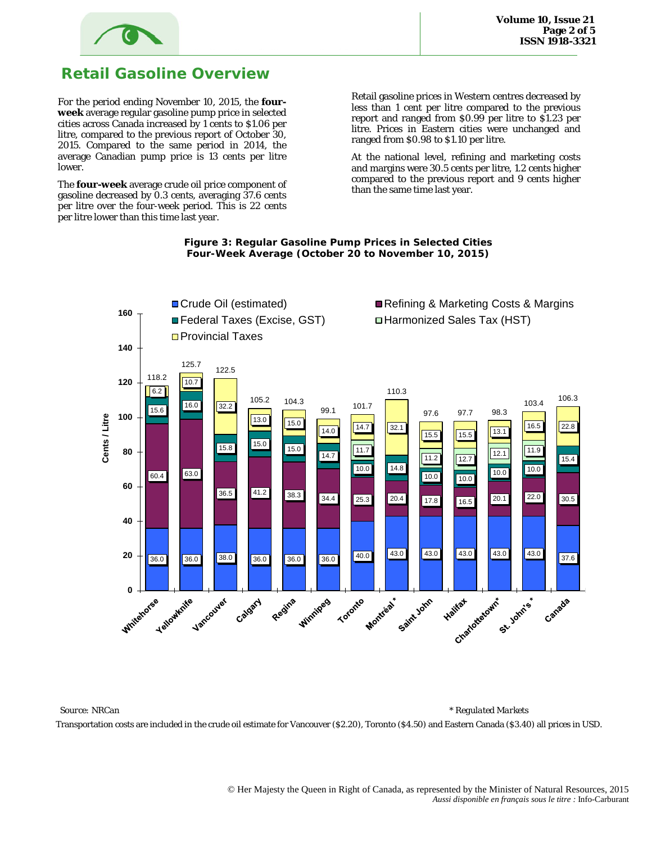### **Retail Gasoline Overview**

For the period ending November 10, 2015, the **fourweek** average regular gasoline pump price in selected cities across Canada increased by 1 cents to \$1.06 per litre, compared to the previous report of October 30, 2015. Compared to the same period in 2014, the average Canadian pump price is 13 cents per litre lower.

The **four-week** average crude oil price component of gasoline decreased by 0.3 cents, averaging 37.6 cents per litre over the four-week period. This is 22 cents per litre lower than this time last year.

Retail gasoline prices in Western centres decreased by less than 1 cent per litre compared to the previous report and ranged from \$0.99 per litre to \$1.23 per litre. Prices in Eastern cities were unchanged and ranged from \$0.98 to \$1.10 per litre.

At the national level, refining and marketing costs and margins were 30.5 cents per litre, 1.2 cents higher compared to the previous report and 9 cents higher than the same time last year.



#### **Figure 3: Regular Gasoline Pump Prices in Selected Cities Four-Week Average (October 20 to November 10, 2015)**

 *Source: NRCan \* Regulated Markets* Transportation costs are included in the crude oil estimate for Vancouver (\$2.20), Toronto (\$4.50) and Eastern Canada (\$3.40) all prices in USD.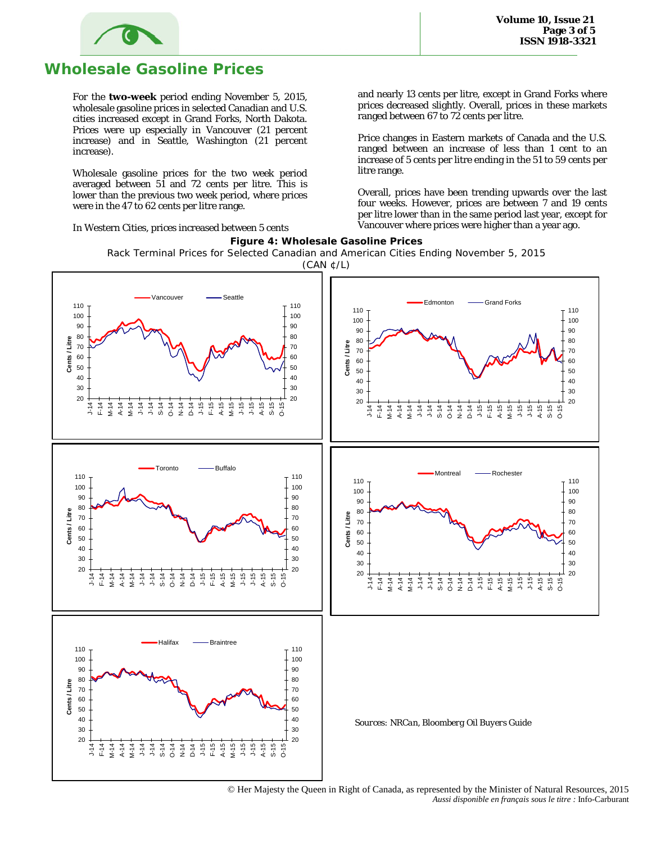

**Cents / Litre**

Cents / Litre

J-14 F-14 M-14 A-14 M-14 J-14 J-14 S-14 O-14 N-14 D-14 J-15 F-15 A-15 M-15 J-15 J-15 A-15 S-15 O-15

**Cents / Litre**

Cents / Litre

J-14 F-14 M-14 A-14 M-14 J-14 J-14 S-14 O-14 N-14 D-14 J-15 F-15 A-15 M-15 J-15 J-15 A-15 S-15

### **Wholesale Gasoline Prices**

For the **two-week** period ending November 5, 2015, wholesale gasoline prices in selected Canadian and U.S. cities increased except in Grand Forks, North Dakota. Prices were up especially in Vancouver (21 percent increase) and in Seattle, Washington (21 percent increase).

Wholesale gasoline prices for the two week period averaged between 51 and 72 cents per litre. This is lower than the previous two week period, where prices were in the 47 to 62 cents per litre range.

Toronto - Buffalo

Halifax - Braintree

In Western Cities, prices increased between 5 cents

and nearly 13 cents per litre, except in Grand Forks where prices decreased slightly. Overall, prices in these markets ranged between 67 to 72 cents per litre.

Price changes in Eastern markets of Canada and the U.S. ranged between an increase of less than 1 cent to an increase of 5 cents per litre ending in the 51 to 59 cents per litre range.

Overall, prices have been trending upwards over the last four weeks. However, prices are between 7 and 19 cents per litre lower than in the same period last year, except for Vancouver where prices were higher than a year ago.



Montreal - Rochester 110 110 110 100 100  $100$ 90 90 90 80 80 80 Cents / Litre 70 **Cents / Litre** 70 70 60 60 60 50 50 50 40 40 40 30 30 30 20 20 20 O-15 A-14 J-14 J-14 S-14 O-14 N-14 J-15 F-15 A-15 M-15 J-15 J-15 A-15 S-15 J-14 F-14 M-14 M-14 D-14 O-15



© Her Majesty the Queen in Right of Canada, as represented by the Minister of Natural Resources, 2015 *Aussi disponible en français sous le titre :* Info-Carburant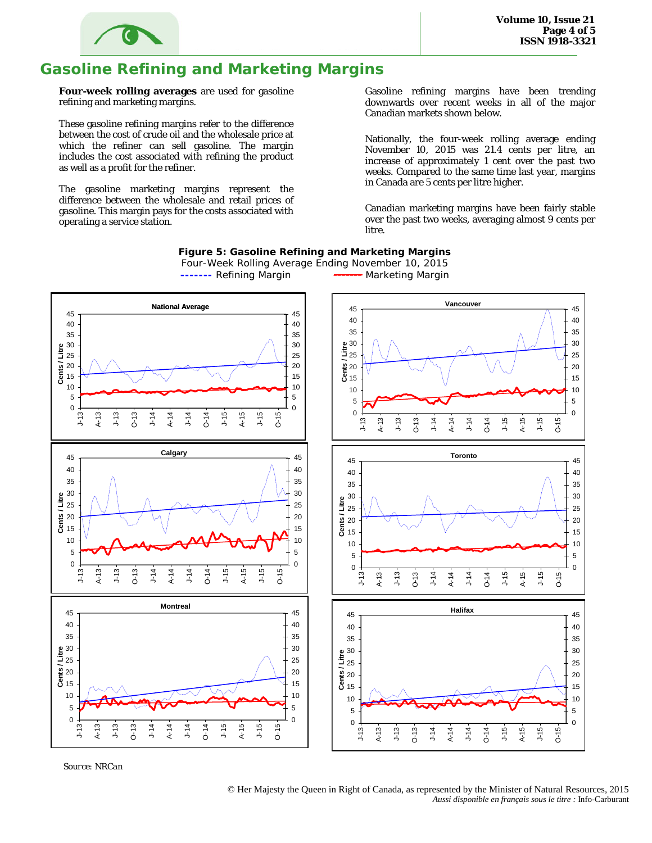

## **Gasoline Refining and Marketing Margins**

**Four-week rolling averages** are used for gasoline refining and marketing margins.

These gasoline refining margins refer to the difference between the cost of crude oil and the wholesale price at which the refiner can sell gasoline. The margin includes the cost associated with refining the product as well as a profit for the refiner.

The gasoline marketing margins represent the difference between the wholesale and retail prices of gasoline. This margin pays for the costs associated with operating a service station.

Gasoline refining margins have been trending downwards over recent weeks in all of the major Canadian markets shown below.

Nationally, the four-week rolling average ending November 10, 2015 was 21.4 cents per litre, an increase of approximately 1 cent over the past two weeks. Compared to the same time last year, margins in Canada are 5 cents per litre higher.

Canadian marketing margins have been fairly stable over the past two weeks, averaging almost 9 cents per litre.



**Figure 5: Gasoline Refining and Marketing Margins**

Four-Week Rolling Average Ending November 10, 2015 **-------** Refining Margin **------** Marketing Margin

 *Source: NRCan*

© Her Majesty the Queen in Right of Canada, as represented by the Minister of Natural Resources, 2015 *Aussi disponible en français sous le titre :* Info-Carburant